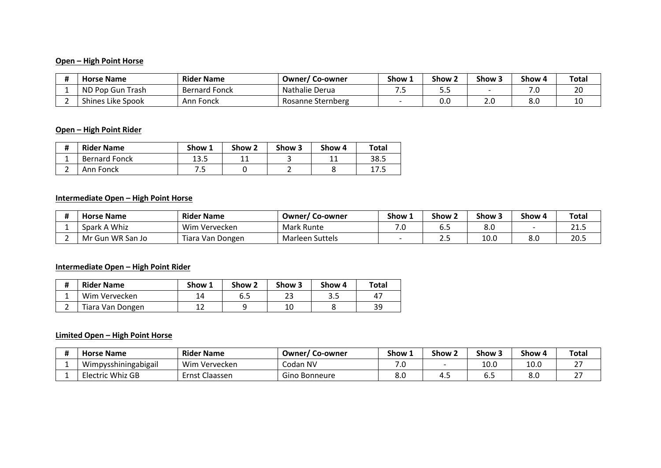### **Open – High Point Horse**

| <b>Horse Name</b> | <b>Rider Name</b>    | Owner/ Co-owner   | Show 1 | Show <sub>2</sub> | Show 3 | Show 4     | <b>Total</b> |
|-------------------|----------------------|-------------------|--------|-------------------|--------|------------|--------------|
| ND Pop Gun Trash  | <b>Bernard Fonck</b> | Nathalie Derua    | . .    |                   |        | 70<br>ں. י | 20           |
| Shines Like Spook | Ann Fonck            | Rosanne Sternberg |        | 0.0               | z.u    | 8.0        | 10           |

### **Open – High Point Rider**

| Ħ<br>π | <b>Rider Name</b>    | Show 1 | Show <sub>2</sub> | Show 3 | Show 4 | Total |
|--------|----------------------|--------|-------------------|--------|--------|-------|
|        | <b>Bernard Fonck</b> | 13.5   | . .               |        |        | 38.5  |
|        | Ann Fonck            | . .    |                   |        |        | 17.5  |

### **Intermediate Open – High Point Horse**

| <b>Horse Name</b> | <b>Rider Name</b> | <b>Owner/Co-owner</b>  | Show 1 | Show <sub>2</sub> | Show 3 | Show 4 | <b>Total</b> |
|-------------------|-------------------|------------------------|--------|-------------------|--------|--------|--------------|
| Spark A Whiz      | Wim Vervecken     | Mark Runte             | ں.     | ∪.J               | 8.0    |        | ر. 1         |
| Mr Gun WR San Jo  | Tiara Van Dongen  | <b>Marleen Suttels</b> |        | ر                 | 10.0   | 8.0    | 20.5         |

### **Intermediate Open – High Point Rider**

| #        | <b>Rider Name</b> | Show 1 | Show 2 | Show 3 | Show 4 | Total |
|----------|-------------------|--------|--------|--------|--------|-------|
| <b>.</b> | Wim Vervecken     | 14     | 6.5    | 23     | 3.5    | 47    |
|          | Tiara Van Dongen  |        |        | 10     |        | 39    |

### **Limited Open – High Point Horse**

| <b>Horse Name</b>    | <b>Rider Name</b>   | $\sim$<br><b>Owner/Co-owner</b> | Show 1     | Show 2 | Show 5 | Show 4 | <b>Total</b> |
|----------------------|---------------------|---------------------------------|------------|--------|--------|--------|--------------|
| Wimpysshiningabigail | Wim Vervecken       | Codan NV                        |            |        | 10.0   | 10.0   |              |
| Electric Whiz GB     | . Claassen<br>:rnst | Gino Bonneure                   | o n<br>o.u | .      | υ      | 8.0    |              |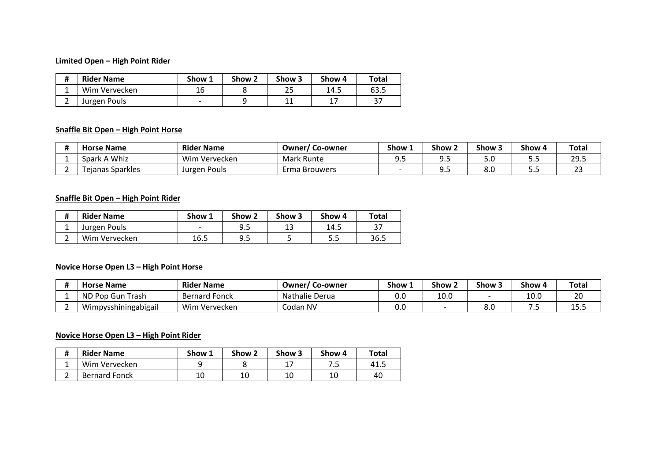### **Limited Open – High Point Rider**

| #        | <b>Rider Name</b> | Show 1                   | Show <sub>2</sub> | Show 3 | Show 4 | Total |
|----------|-------------------|--------------------------|-------------------|--------|--------|-------|
| <b>.</b> | Wim Vervecken     |                          |                   | 25     | 14.5   | 63.5  |
|          | Jurgen Pouls      | $\overline{\phantom{0}}$ |                   | 11     | ∸'     | ر د   |

### **Snaffle Bit Open – High Point Horse**

| <b>Horse Name</b>       | <b>Rider Name</b> | $\sim$<br>Owner/<br>, Co-owner | Show 1  | Show:   | Show: | Show 4  | Total            |
|-------------------------|-------------------|--------------------------------|---------|---------|-------|---------|------------------|
| Spark A Whiz            | Wim Vervecken     | Mark Runte                     | <b></b> | <b></b> | J.u   | <u></u> | 29.5             |
| <b>Tejanas Sparkles</b> | Jurgen Pouls      | Erma Brouwers                  |         | <b></b> | o.u   | <u></u> | <b>^^</b><br>ں ے |

### **Snaffle Bit Open – High Point Rider**

| #             | <b>Rider Name</b> | Show 1                   | Show 2 | Show 3    | Show 4 | Total |
|---------------|-------------------|--------------------------|--------|-----------|--------|-------|
| <u>. на с</u> | Jurgen Pouls      | $\overline{\phantom{0}}$ | 9.5    | 12<br>ر 1 | 14.5   | 37    |
|               | Wim Vervecken     | 16.5                     | 9.5    |           | 5.5    | 36.5  |

### **Novice Horse Open L3 – High Point Horse**

| <b>Horse Name</b>    | <b>Rider Name</b>    | $\sim$<br>Owner/<br>' Co-owner | Show 1 | Show 2 | Show 3 | Show 4 | Total       |
|----------------------|----------------------|--------------------------------|--------|--------|--------|--------|-------------|
| ND Pop Gun Trash     | <b>Bernard Fonck</b> | <b>Nathalie Derua</b>          | 0.0    | 10.0   |        | 10.0   | 20          |
| Wimpysshiningabigail | Wim Vervecken        | Codan NV                       | 0.0    |        | o.u    |        | .<br>∸ ). J |

### **Novice Horse Open L3 – High Point Rider**

| # | <b>Rider Name</b>    | Show 1 | Show 2   | Show 3 | Show 4 | Total   |
|---|----------------------|--------|----------|--------|--------|---------|
|   | Wim Vervecken        |        |          |        | ر ،    | - 41. . |
| ∸ | <b>Bernard Fonck</b> |        | 10<br>⊥∪ | 10     | 10     | 40      |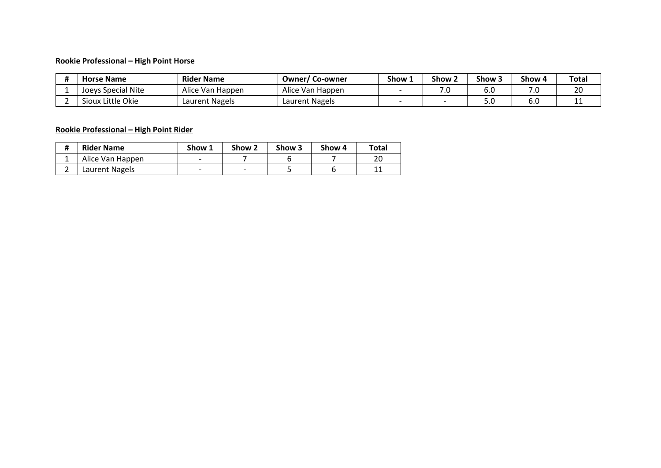### **Rookie Professional – High Point Horse**

| <b>Horse Name</b>  | <b>Rider Name</b> | <b>Owner/Co-owner</b> | Show 1 | Show 2 | Show: | Show 4 | Total |
|--------------------|-------------------|-----------------------|--------|--------|-------|--------|-------|
| Joeys Special Nite | Alice Van Happen  | Alice Van Happen      |        | ∕.0    | 0.U   | ں. ہ   | 20    |
| Sioux Little Okie  | Laurent Nagels    | Laurent Nagels        |        |        | J.U   | o.u    | ᆠ     |

### **Rookie Professional – High Point Rider**

| # | <b>Rider Name</b> | Show 1 | Show 2 | Show 3 | Show 4 | Total    |
|---|-------------------|--------|--------|--------|--------|----------|
| ᅩ | Alice Van Happen  |        |        |        |        | 20       |
| ∸ | Laurent Nagels    |        |        |        |        | -11<br>ᆠ |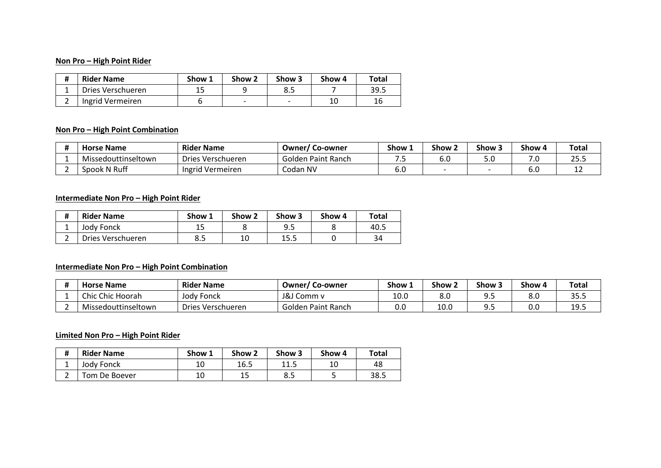### **Non Pro – High Point Rider**

| Ħ | <b>Rider Name</b> | Show 1 | Show 2 | Show 3                   | Show 4 | Total |
|---|-------------------|--------|--------|--------------------------|--------|-------|
|   | Dries Verschueren |        |        | 8.5                      |        | 39.5  |
|   | Ingrid Vermeiren  |        | -      | $\overline{\phantom{0}}$ | 10     | 16    |

### **Non Pro – High Point Combination**

| <b>Horse Name</b>   | <b>Rider Name</b> | <b>Owner/Co-owner</b> | Show 1 | Show. | Show: | Show 4 | Total      |
|---------------------|-------------------|-----------------------|--------|-------|-------|--------|------------|
| Missedouttinseltown | Dries Verschueren | Golden Paint Ranch    | . .    | υ.υ   | ں.ر   | ں. ⁄   | つに<br>ر.رے |
| Spook N Ruff        | Ingrid Vermeiren  | Codan NV              | o.u    |       |       | ง.เ    | ᆠ          |

### **Intermediate Non Pro – High Point Rider**

| Ħ<br>π | <b>Rider Name</b> | Show 1    | Show 2 | Show 3 | Show 4 | Total |
|--------|-------------------|-----------|--------|--------|--------|-------|
| ∸      | Jody Fonck        | ᅩ         |        | 9.5    |        | 40.5  |
|        | Dries Verschueren | 오도<br>0.J | ᅭ      | 15.5   |        | 34    |

### **Intermediate Non Pro – High Point Combination**

| <b>Horse Name</b>   | <b>Rider Name</b> | $\sim$<br><b>Owner/Co-owner</b> | Show 1 | Show 2 | Show 5 | Show 4 | Total           |
|---------------------|-------------------|---------------------------------|--------|--------|--------|--------|-----------------|
| Chic Chic Hoorah    | Jody Fonck        | J&J Comm v                      | 10.0   | 8.0    | ນ.ວ    | 8.0    | 35.5            |
| Missedouttinseltown | Dries Verschueren | Golden Paint Ranch              | 0.0    | 10.0   | ນ.ວ    | 0.0    | 1 Q 5<br>∸ ). J |

### **Limited Non Pro – High Point Rider**

| #             | <b>Rider Name</b> | Show 1 | Show 2 | Show 3 | Show 4 | Total |
|---------------|-------------------|--------|--------|--------|--------|-------|
| <u>. на п</u> | Jody Fonck        | 10     | 16.5   | 11.5   | 10     | 48    |
|               | Tom De Boever     | 10     | ᆠ      | 8.5    |        | 38.5  |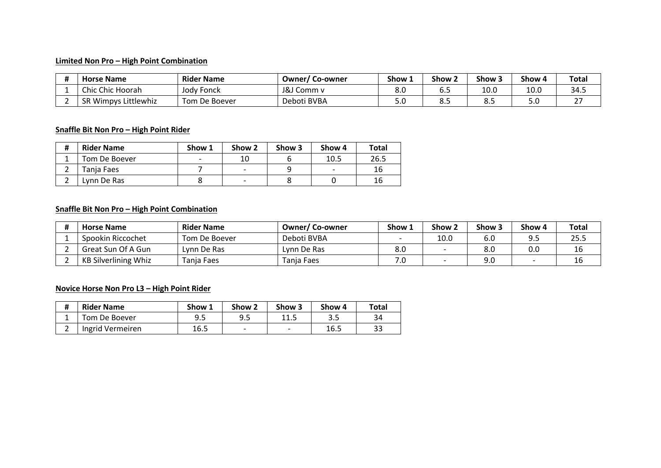### **Limited Non Pro – High Point Combination**

| <b>Horse Name</b>    | <b>Rider Name</b> | <b>Owner/Co-owner</b> | Show 1 | Show 2 | Show: | Show 4     | <b>Total</b> |
|----------------------|-------------------|-----------------------|--------|--------|-------|------------|--------------|
| Chic Chic Hoorah     | Jody Fonck        | J&J Comm v            | 8.0    | o.c    | 10.0  | 10.0       | 34.5         |
| SR Wimpys Littlewhiz | Tom De Boever     | Deboti BVBA           | J.U    | ں.ں    | ں.ں   | г о<br>J.U |              |

### **Snaffle Bit Non Pro – High Point Rider**

| # | <b>Rider Name</b> | Show 1                   | Show 2 | Show 3 | Show 4                   | Total |
|---|-------------------|--------------------------|--------|--------|--------------------------|-------|
|   | Tom De Boever     | $\overline{\phantom{0}}$ |        |        | 10.5                     | 26.5  |
|   | Tania Faes        |                          | -      |        | $\overline{\phantom{0}}$ | 16    |
|   | Lvnn De Ras       |                          |        |        |                          | 16    |

### **Snaffle Bit Non Pro – High Point Combination**

| <b>Horse Name</b>           | <b>Rider Name</b> | <b>Owner/Co-owner</b> | Show 1 | Show 2 | Show 3 | Show 4 | Total |
|-----------------------------|-------------------|-----------------------|--------|--------|--------|--------|-------|
| Spookin Riccochet           | Tom De Boever     | Deboti BVBA           |        | 10.0   | 6.0    |        | 25.5  |
| Great Sun Of A Gun          | Lvnn De Ras       | Lvnn De Ras           | 8.0    |        | 8.0    | 0.0    | 16    |
| <b>KB Silverlining Whiz</b> | Tania Faes        | Tania Faes            | ' ∙    |        | 9.0    |        | 16    |

# **Novice Horse Non Pro L3 – High Point Rider**

| $\bf{H}$<br>π | <b>Rider Name</b> | Show 1 | Show 2 | Show 3                    | Show 4 | Total |
|---------------|-------------------|--------|--------|---------------------------|--------|-------|
|               | Tom De Boever     | 9.5    |        | 11 <sub>1</sub><br>ن. ط ط |        | 34    |
| ∽             | Ingrid Vermeiren  | 16.5   |        | $\overline{\phantom{0}}$  | 16.5   | 33    |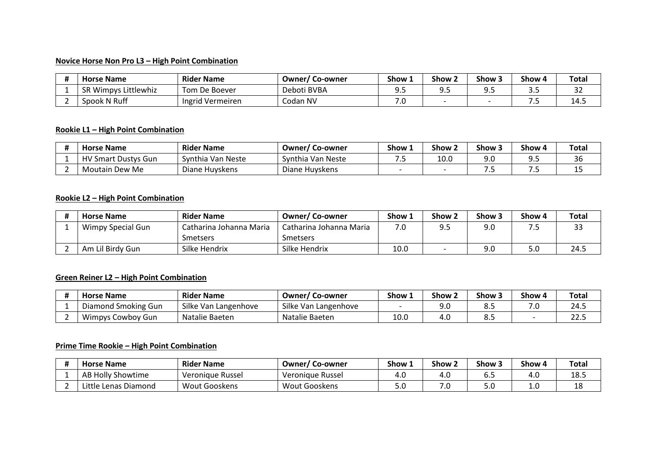### **Novice Horse Non Pro L3 – High Point Combination**

| <b>Horse Name</b>    | <b>Rider Name</b> | Owner/Co-owner | Show 1 | Show <sub>2</sub> | Show 3  | Show 4 | <b>Total</b> |
|----------------------|-------------------|----------------|--------|-------------------|---------|--------|--------------|
| SR Wimpys Littlewhiz | Tom De Boever     | Deboti BVBA    | J.J    | ---               | <b></b> | ---    | $\sim$<br>ےر |
| Spook N Ruff         | Ingrid Vermeiren  | Codan NV       | . ت    |                   |         | .      | 14.J         |

### **Rookie L1 – High Point Combination**

| <b>Horse Name</b>          | <b>Rider Name</b> | <b>Owner/Co-owner</b> | Show 1 | Show 2 | Show: | Show 4 | Total |
|----------------------------|-------------------|-----------------------|--------|--------|-------|--------|-------|
| <b>HV Smart Dustys Gun</b> | Synthia Van Neste | Synthia Van Neste     | . .    | 10.0   | 9.C   |        | 36    |
| Moutain Dew Me             | Diane Huyskens    | Diane Huvskens        |        |        | . .   | .      | --    |

### **Rookie L2 – High Point Combination**

| <b>Horse Name</b> | <b>Rider Name</b>       | <b>Owner/Co-owner</b>   | Show 1 | Show 2 | Show <sub>3</sub> | Show 4 | <b>Total</b> |
|-------------------|-------------------------|-------------------------|--------|--------|-------------------|--------|--------------|
| Wimpy Special Gun | Catharina Johanna Maria | Catharina Johanna Maria | .U     | 9.5    | 9.0               | - 33   | 33           |
|                   | Smetsers                | Smetsers                |        |        |                   |        |              |
| Am Lil Birdy Gun  | Silke Hendrix           | Silke Hendrix           | 10.0   |        | 9.0               | 5.0    | 24.5         |

# **Green Reiner L2 – High Point Combination**

| <b>Horse Name</b>   | <b>Rider Name</b>    | <b>Owner/Co-owner</b> | Show 1 | Show <sub>2</sub> | Show: | Show 4 | Total      |
|---------------------|----------------------|-----------------------|--------|-------------------|-------|--------|------------|
| Diamond Smoking Gun | Silke Van Langenhove | Silke Van Langenhove  |        | J.U               | ت. ت  | . ر    | 24.5       |
| Wimpys Cowboy Gun   | Natalie Baeten       | Natalie Baeten        | 10.0   | 4.U               |       |        | ົາາ<br>د.∠ |

### **Prime Time Rookie – High Point Combination**

| <b>Horse Name</b>         | <b>Rider Name</b> | Owner/Co-owner   | Show 1 | Show 2 | Show 3 | Show 4 | Total |
|---------------------------|-------------------|------------------|--------|--------|--------|--------|-------|
| AB Holly Showtime         | Veronique Russel  | Veronique Russel |        | . с    | ∪.J    | 4.U    | 18.5  |
| Little<br>Lenas Diamond ? | Wout Gooskens     | Wout Gooskens    | ں ر    | ں.     | J.U    | T.N    | 18    |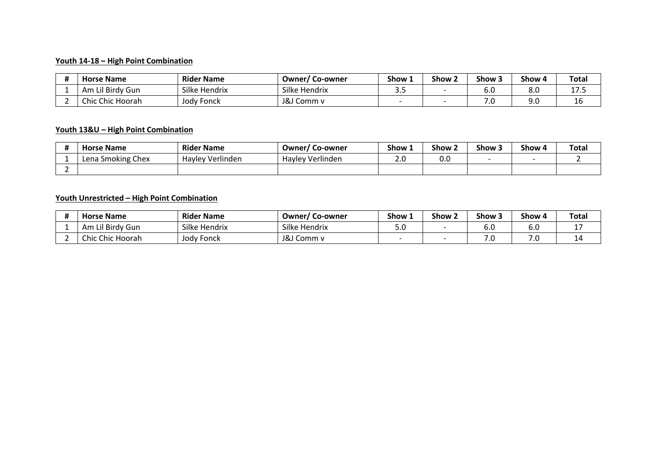### **Youth 14-18 – High Point Combination**

| <b>Horse Name</b>   | <b>Rider Name</b> | <b>Owner/Co-owner</b> | Show 1 | Show 2 | Show 3 | Show 4 | <b>Total</b> |
|---------------------|-------------------|-----------------------|--------|--------|--------|--------|--------------|
| Lil Birdy Gun<br>Am | Silke Hendrix     | Silke Hendrix         |        |        | 0.U    | 8.0    | . <i>. .</i> |
| Chic Chic Hoorah    | Jody Fonck        | J&J Comm v            |        |        | .∪     | 9.0    | 16           |

### **Youth 13&U – High Point Combination**

| <b>Name</b><br>Horse      | <b>Rider Name</b> | Owner/<br>Co-owner          | Show 1 | Show <sub>2</sub> | Show 3 | Show 4 | <b>Total</b> |
|---------------------------|-------------------|-----------------------------|--------|-------------------|--------|--------|--------------|
| Chex<br>. Smoking<br>Lena | Havley Verlinden  | $\cdot$<br>Havley Verlinden | ے ۔    | 0.0               |        |        |              |
|                           |                   |                             |        |                   |        |        |              |

# **Youth Unrestricted – High Point Combination**

| <b>Horse Name</b> | <b>Rider Name</b> | Owner/Co-owner | Show 1 | Show <sub>2</sub> | Show 3 | Show 4     | <b>Total</b> |
|-------------------|-------------------|----------------|--------|-------------------|--------|------------|--------------|
| Am Lil Birdy Gun  | Silke Hendrix     | Silke Hendrix  | J.U    |                   | o.u    | ົ ∩<br>o.u |              |
| Chic Chic Hoorah  | Jody Fonck        | J&J Comm v     |        |                   | . u    | ה ד<br>.u  | ┸            |